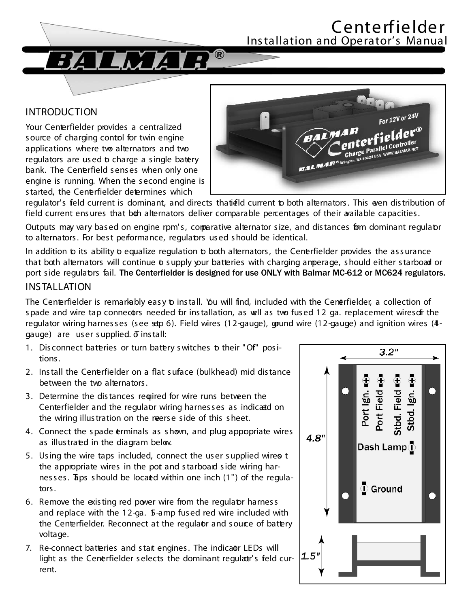

Your Centerfielder provides a centralized source of charging contol for twin engine applications where two alternators and two regulators are used to charge a single batery bank. The Cenerfield senses when only one engine is running. When the second engine is started, the Centerfielder determines which



regulator's feld current is dominant, and directs thatield current to both alternators. This even distribution of field current ensures that both alternators deliver comparable percentages of their available capacities.

 $\bigcirc$ 

Outputs may vary based on engine rpm's, comparative alternator size, and distances form dominant regulator to alternators. For best performance, regulators used should be identical.

In addition to its ability to equalize regulation to both alternators, the Cenerfielder provides the assurance that both alternators will continue to supply your batteries with charging amperage, should either starboad or port side regulators fail. The Centerfielder is designed for use ONLY with Balmar MC-612 or MC624 regulators. **INSTALLATION** 

The Centerfielder is remarkably easy to install. You will find, included with the Cenerfielder, a collection of spade and wire tap connecotrs needed for installation, as well as two fused 12 ga. replacement wiresofr the regulator wiring harnesses (see setp 6). Field wires (12-gauge), gound wire (12-gauge) and ignition wires (4gauge) are user supplied.  $\bar{\sigma}$  install:

- 1. Disconnect bateries or turn batery switches to their "Of" positions.
- 2. Install the Cenerfielder on a flat suface (bulkhead) mid distance between the two alternators.
- 3. Determine the distances required for wire runs between the Centerfielder and the regulator wiring harnesses as indicatd on the wiring illustration on the reerse side of this sheet.
- 4. Connect the spade erminals as shown, and plug appopriate wires as illustrated in the diagram below.
- 5. Using the wire taps included, connect the user supplied wireo t the appropriate wires in the pot and starboard side wiring harnesses. Taps should be locaed within one inch (1") of the regulators.
- 6. Remove the existing red power wire from the regulator harness and replace with the 12-ga. 5-amp fused red wire included with the Centerfielder. Reconnect at the regulaor and source of battery voltage.
- 7. Re-connect batteries and stat engines. The indicaor LEDs will light as the Cenerfielder selects the dominant regulatr's feld current.

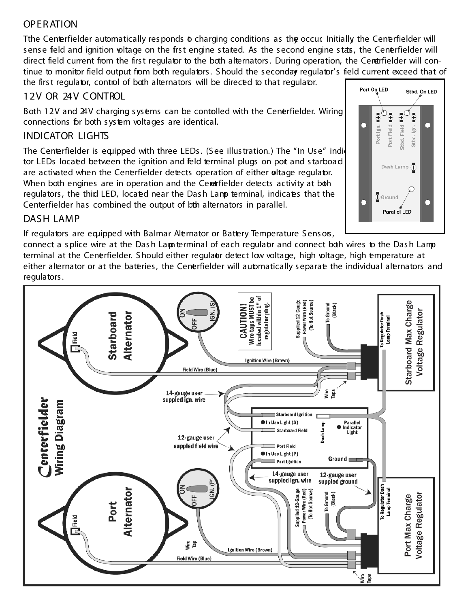## OPERATION

Tthe Centerfielder automatically responds to charging conditions as the occur. Initially the Centerfielder will sense field and ignition oltage on the frst engine stated. As the second engine stats, the Cener fielder will direct field current from the first regulator to the both alternators. During operation, the Cenetrfielder will continue to monitor field output from both regulators. Should the seconday regulator's field current exceed that of the first regulator, control of both alternators will be directed to that regulator.

#### 12V OR 24V CONTROL

Both 12V and 24V charging sysems can be contolled with the Cenerfielder. Wiring connections for both system voltages are identical.

### INDICATOR LIGHTS

The Centerfielder is equipped with three LEDs. (See illustration.) The "In Use" indidently tor LEDs located between the ignition and feld terminal plugs on pot and starboard are activated when the Cenerfielder detects operation of either oltage regulator. When both engines are in operation and the Ceretrifielder detects activity at both regulators, the thid LED, located near the Dash Lamp terminal, indicates that the Centerfielder has combined the output of bth alternators in parallel.



### DASH LAMP

If regulators are equipped with Balmar Alternator or Battery Temperature Sensos,

connect a splice wire at the Dash Lam terminal of each regulaor and connect both wires to the Dash Lamp terminal at the Cenerfielder. Should either regulaor detect low voltage, high voltage, high emperature at either alternator or at the bateries, the Cenerfielder will automatically separate the individual alternators and regulators.

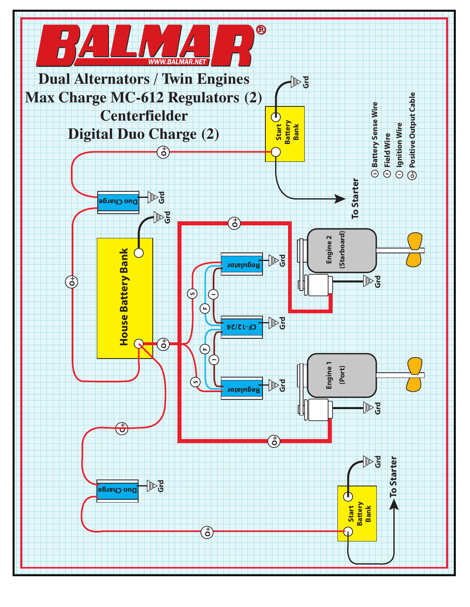